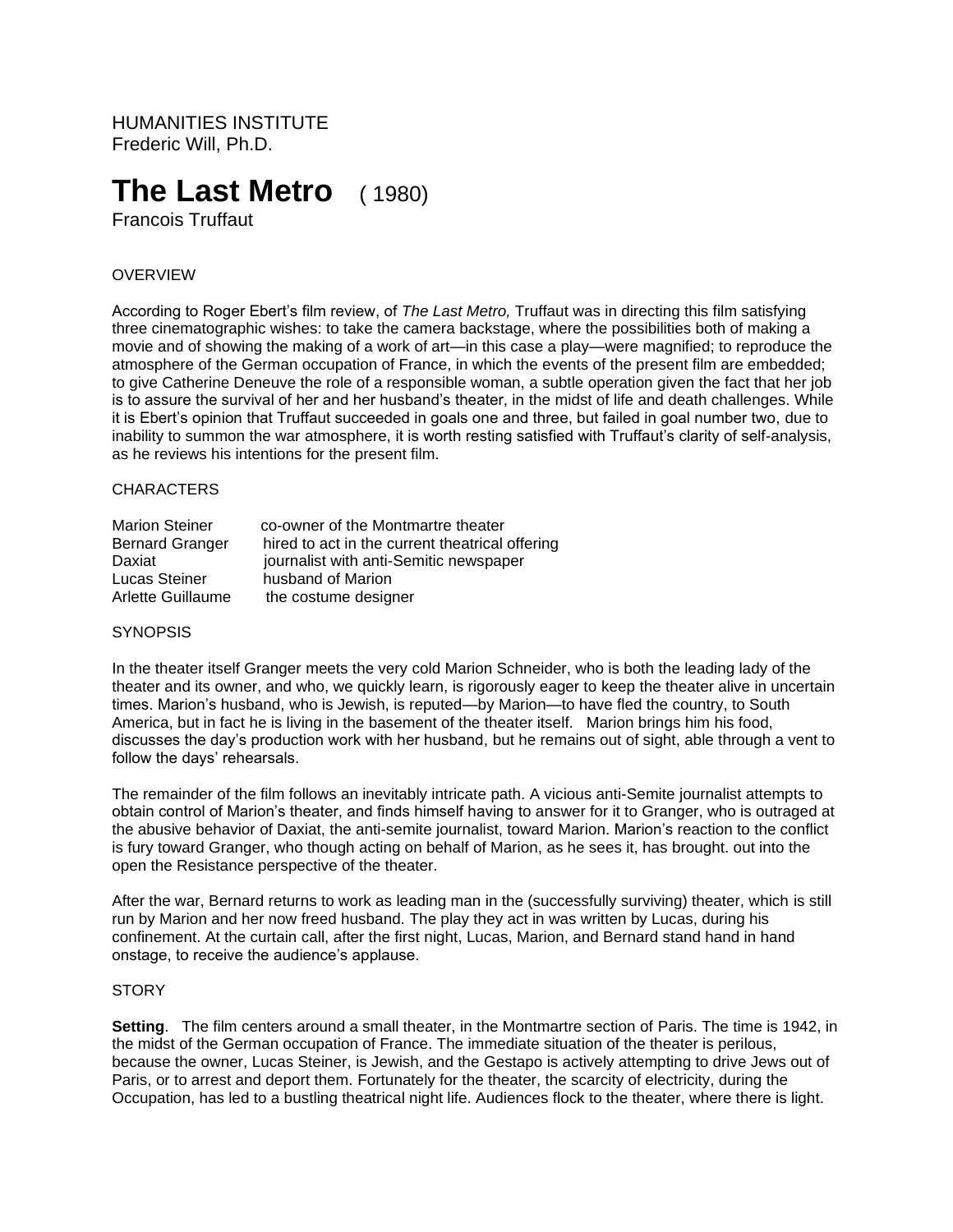HUMANITIES INSTITUTE Frederic Will, Ph.D.

# **The Last Metro**( 1980)

Francois Truffaut

## OVERVIEW

According to Roger Ebert's film review, of *The Last Metro,* Truffaut was in directing this film satisfying three cinematographic wishes: to take the camera backstage, where the possibilities both of making a movie and of showing the making of a work of art—in this case a play—were magnified; to reproduce the atmosphere of the German occupation of France, in which the events of the present film are embedded; to give Catherine Deneuve the role of a responsible woman, a subtle operation given the fact that her job is to assure the survival of her and her husband's theater, in the midst of life and death challenges. While it is Ebert's opinion that Truffaut succeeded in goals one and three, but failed in goal number two, due to inability to summon the war atmosphere, it is worth resting satisfied with Truffaut's clarity of self-analysis, as he reviews his intentions for the present film.

#### **CHARACTERS**

| <b>Marion Steiner</b>  | co-owner of the Montmartre theater              |
|------------------------|-------------------------------------------------|
| <b>Bernard Granger</b> | hired to act in the current theatrical offering |
| Daxiat                 | journalist with anti-Semitic newspaper          |
| Lucas Steiner          | husband of Marion                               |
| Arlette Guillaume      | the costume designer                            |

#### **SYNOPSIS**

In the theater itself Granger meets the very cold Marion Schneider, who is both the leading lady of the theater and its owner, and who, we quickly learn, is rigorously eager to keep the theater alive in uncertain times. Marion's husband, who is Jewish, is reputed—by Marion—to have fled the country, to South America, but in fact he is living in the basement of the theater itself. Marion brings him his food, discusses the day's production work with her husband, but he remains out of sight, able through a vent to follow the days' rehearsals.

The remainder of the film follows an inevitably intricate path. A vicious anti-Semite journalist attempts to obtain control of Marion's theater, and finds himself having to answer for it to Granger, who is outraged at the abusive behavior of Daxiat, the anti-semite journalist, toward Marion. Marion's reaction to the conflict is fury toward Granger, who though acting on behalf of Marion, as he sees it, has brought. out into the open the Resistance perspective of the theater.

After the war, Bernard returns to work as leading man in the (successfully surviving) theater, which is still run by Marion and her now freed husband. The play they act in was written by Lucas, during his confinement. At the curtain call, after the first night, Lucas, Marion, and Bernard stand hand in hand onstage, to receive the audience's applause.

#### **STORY**

**Setting**. The film centers around a small theater, in the Montmartre section of Paris. The time is 1942, in the midst of the German occupation of France. The immediate situation of the theater is perilous, because the owner, Lucas Steiner, is Jewish, and the Gestapo is actively attempting to drive Jews out of Paris, or to arrest and deport them. Fortunately for the theater, the scarcity of electricity, during the Occupation, has led to a bustling theatrical night life. Audiences flock to the theater, where there is light.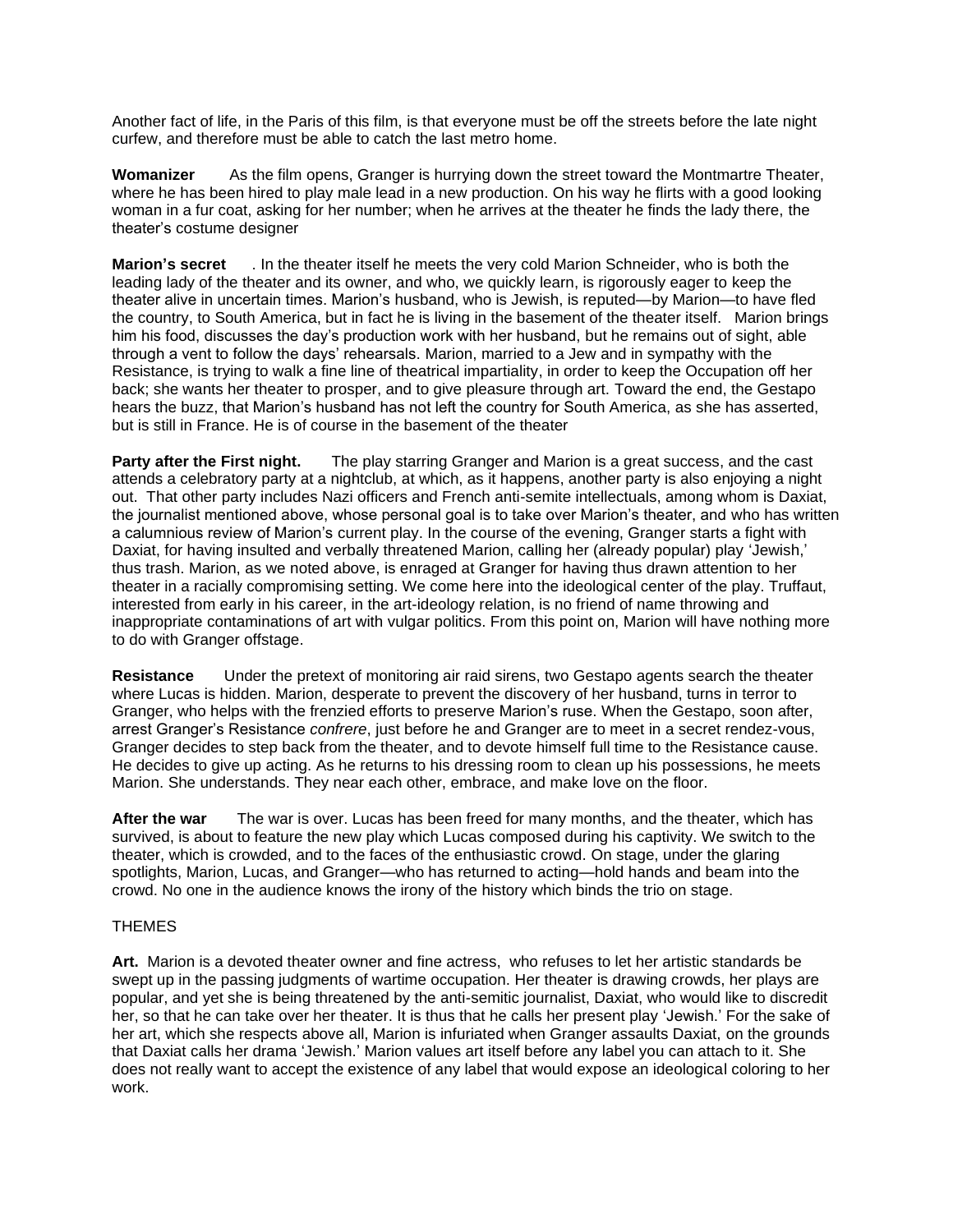Another fact of life, in the Paris of this film, is that everyone must be off the streets before the late night curfew, and therefore must be able to catch the last metro home.

**Womanizer** As the film opens, Granger is hurrying down the street toward the Montmartre Theater, where he has been hired to play male lead in a new production. On his way he flirts with a good looking woman in a fur coat, asking for her number; when he arrives at the theater he finds the lady there, the theater's costume designer

**Marion's secret** . In the theater itself he meets the very cold Marion Schneider, who is both the leading lady of the theater and its owner, and who, we quickly learn, is rigorously eager to keep the theater alive in uncertain times. Marion's husband, who is Jewish, is reputed—by Marion—to have fled the country, to South America, but in fact he is living in the basement of the theater itself. Marion brings him his food, discusses the day's production work with her husband, but he remains out of sight, able through a vent to follow the days' rehearsals. Marion, married to a Jew and in sympathy with the Resistance, is trying to walk a fine line of theatrical impartiality, in order to keep the Occupation off her back; she wants her theater to prosper, and to give pleasure through art. Toward the end, the Gestapo hears the buzz, that Marion's husband has not left the country for South America, as she has asserted, but is still in France. He is of course in the basement of the theater

**Party after the First night.** The play starring Granger and Marion is a great success, and the cast attends a celebratory party at a nightclub, at which, as it happens, another party is also enjoying a night out. That other party includes Nazi officers and French anti-semite intellectuals, among whom is Daxiat, the journalist mentioned above, whose personal goal is to take over Marion's theater, and who has written a calumnious review of Marion's current play. In the course of the evening, Granger starts a fight with Daxiat, for having insulted and verbally threatened Marion, calling her (already popular) play 'Jewish,' thus trash. Marion, as we noted above, is enraged at Granger for having thus drawn attention to her theater in a racially compromising setting. We come here into the ideological center of the play. Truffaut, interested from early in his career, in the art-ideology relation, is no friend of name throwing and inappropriate contaminations of art with vulgar politics. From this point on, Marion will have nothing more to do with Granger offstage.

**Resistance** Under the pretext of monitoring air raid sirens, two Gestapo agents search the theater where Lucas is hidden. Marion, desperate to prevent the discovery of her husband, turns in terror to Granger, who helps with the frenzied efforts to preserve Marion's ruse. When the Gestapo, soon after, arrest Granger's Resistance *confrere*, just before he and Granger are to meet in a secret rendez-vous, Granger decides to step back from the theater, and to devote himself full time to the Resistance cause. He decides to give up acting. As he returns to his dressing room to clean up his possessions, he meets Marion. She understands. They near each other, embrace, and make love on the floor.

**After the war** The war is over. Lucas has been freed for many months, and the theater, which has survived, is about to feature the new play which Lucas composed during his captivity. We switch to the theater, which is crowded, and to the faces of the enthusiastic crowd. On stage, under the glaring spotlights, Marion, Lucas, and Granger—who has returned to acting—hold hands and beam into the crowd. No one in the audience knows the irony of the history which binds the trio on stage.

### THEMES

**Art.** Marion is a devoted theater owner and fine actress, who refuses to let her artistic standards be swept up in the passing judgments of wartime occupation. Her theater is drawing crowds, her plays are popular, and yet she is being threatened by the anti-semitic journalist, Daxiat, who would like to discredit her, so that he can take over her theater. It is thus that he calls her present play 'Jewish.' For the sake of her art, which she respects above all, Marion is infuriated when Granger assaults Daxiat, on the grounds that Daxiat calls her drama 'Jewish.' Marion values art itself before any label you can attach to it. She does not really want to accept the existence of any label that would expose an ideological coloring to her work.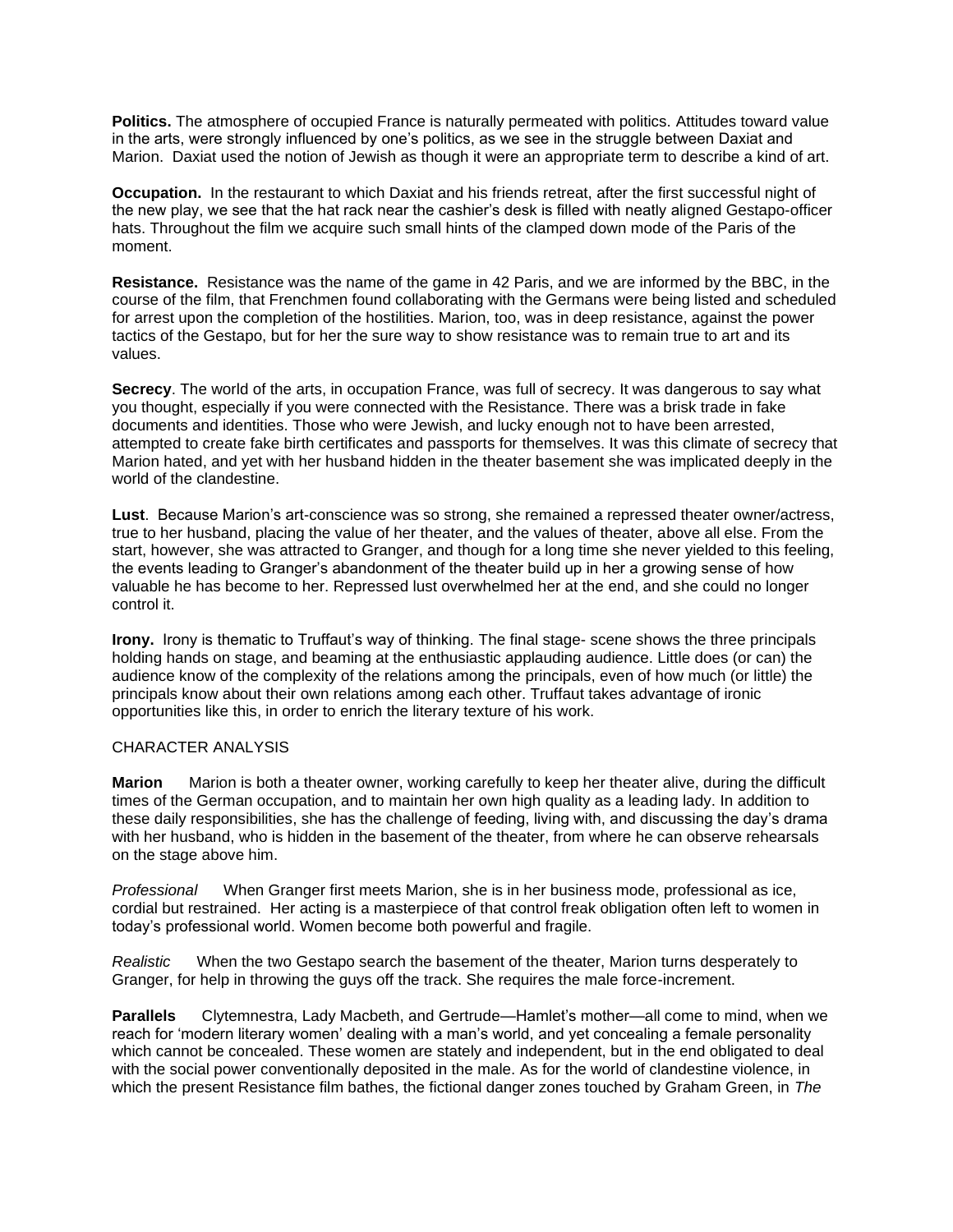**Politics.** The atmosphere of occupied France is naturally permeated with politics. Attitudes toward value in the arts, were strongly influenced by one's politics, as we see in the struggle between Daxiat and Marion. Daxiat used the notion of Jewish as though it were an appropriate term to describe a kind of art.

**Occupation.** In the restaurant to which Daxiat and his friends retreat, after the first successful night of the new play, we see that the hat rack near the cashier's desk is filled with neatly aligned Gestapo-officer hats. Throughout the film we acquire such small hints of the clamped down mode of the Paris of the moment.

**Resistance.** Resistance was the name of the game in 42 Paris, and we are informed by the BBC, in the course of the film, that Frenchmen found collaborating with the Germans were being listed and scheduled for arrest upon the completion of the hostilities. Marion, too, was in deep resistance, against the power tactics of the Gestapo, but for her the sure way to show resistance was to remain true to art and its values.

**Secrecy**. The world of the arts, in occupation France, was full of secrecy. It was dangerous to say what you thought, especially if you were connected with the Resistance. There was a brisk trade in fake documents and identities. Those who were Jewish, and lucky enough not to have been arrested, attempted to create fake birth certificates and passports for themselves. It was this climate of secrecy that Marion hated, and yet with her husband hidden in the theater basement she was implicated deeply in the world of the clandestine.

**Lust**. Because Marion's art-conscience was so strong, she remained a repressed theater owner/actress, true to her husband, placing the value of her theater, and the values of theater, above all else. From the start, however, she was attracted to Granger, and though for a long time she never yielded to this feeling, the events leading to Granger's abandonment of the theater build up in her a growing sense of how valuable he has become to her. Repressed lust overwhelmed her at the end, and she could no longer control it.

**Irony.** Irony is thematic to Truffaut's way of thinking. The final stage- scene shows the three principals holding hands on stage, and beaming at the enthusiastic applauding audience. Little does (or can) the audience know of the complexity of the relations among the principals, even of how much (or little) the principals know about their own relations among each other. Truffaut takes advantage of ironic opportunities like this, in order to enrich the literary texture of his work.

#### CHARACTER ANALYSIS

**Marion** Marion is both a theater owner, working carefully to keep her theater alive, during the difficult times of the German occupation, and to maintain her own high quality as a leading lady. In addition to these daily responsibilities, she has the challenge of feeding, living with, and discussing the day's drama with her husband, who is hidden in the basement of the theater, from where he can observe rehearsals on the stage above him.

*Professional* When Granger first meets Marion, she is in her business mode, professional as ice, cordial but restrained. Her acting is a masterpiece of that control freak obligation often left to women in today's professional world. Women become both powerful and fragile.

*Realistic* When the two Gestapo search the basement of the theater, Marion turns desperately to Granger, for help in throwing the guys off the track. She requires the male force-increment.

**Parallels** Clytemnestra, Lady Macbeth, and Gertrude—Hamlet's mother—all come to mind, when we reach for 'modern literary women' dealing with a man's world, and yet concealing a female personality which cannot be concealed. These women are stately and independent, but in the end obligated to deal with the social power conventionally deposited in the male. As for the world of clandestine violence, in which the present Resistance film bathes, the fictional danger zones touched by Graham Green, in *The*